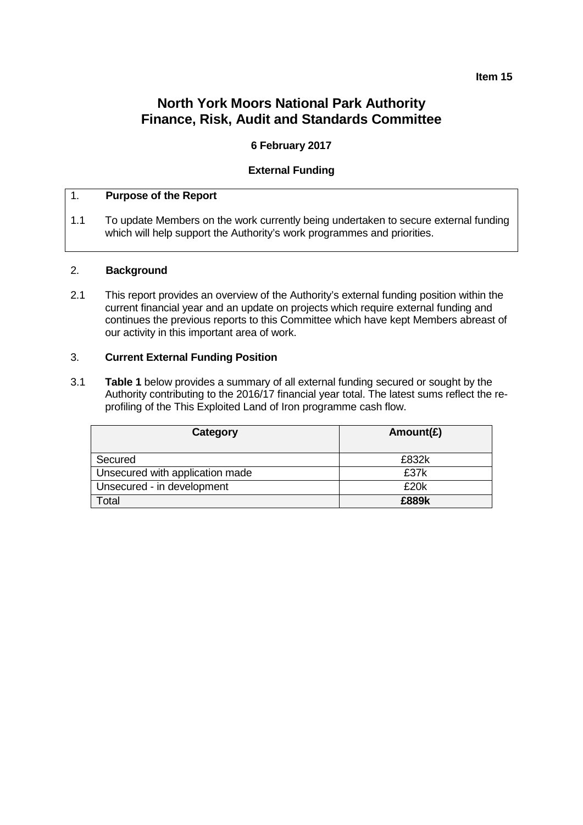#### **Item 15**

# **North York Moors National Park Authority Finance, Risk, Audit and Standards Committee**

## **6 February 2017**

#### **External Funding**

#### 1. **Purpose of the Report**

1.1 To update Members on the work currently being undertaken to secure external funding which will help support the Authority's work programmes and priorities.

#### 2. **Background**

2.1 This report provides an overview of the Authority's external funding position within the current financial year and an update on projects which require external funding and continues the previous reports to this Committee which have kept Members abreast of our activity in this important area of work.

### 3. **Current External Funding Position**

3.1 **Table 1** below provides a summary of all external funding secured or sought by the Authority contributing to the 2016/17 financial year total. The latest sums reflect the reprofiling of the This Exploited Land of Iron programme cash flow.

| Category                        | Amount( $E$ ) |
|---------------------------------|---------------|
| Secured                         | £832k         |
| Unsecured with application made | £37k          |
| Unsecured - in development      | £20k          |
| Total                           | £889k         |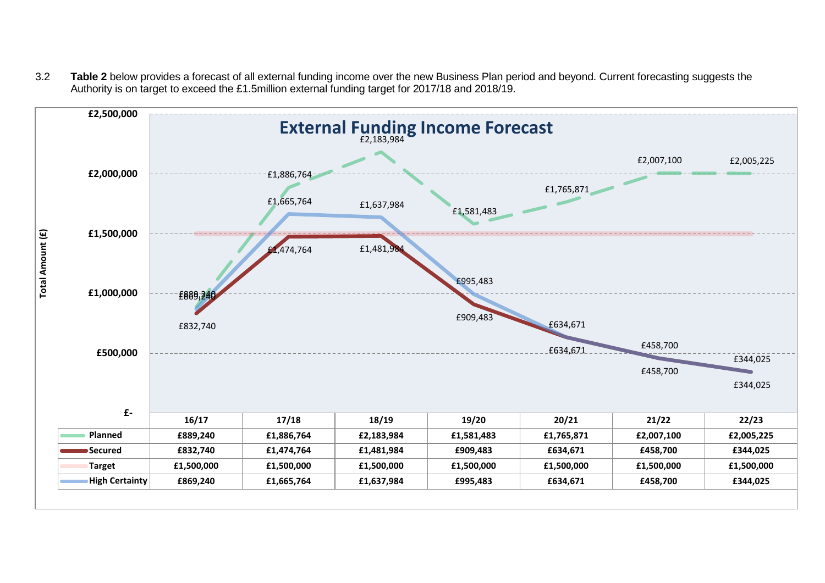3.2 **Table 2** below provides a forecast of all external funding income over the new Business Plan period and beyond. Current forecasting suggests the Authority is on target to exceed the £1.5million external funding target for 2017/18 and 2018/19.

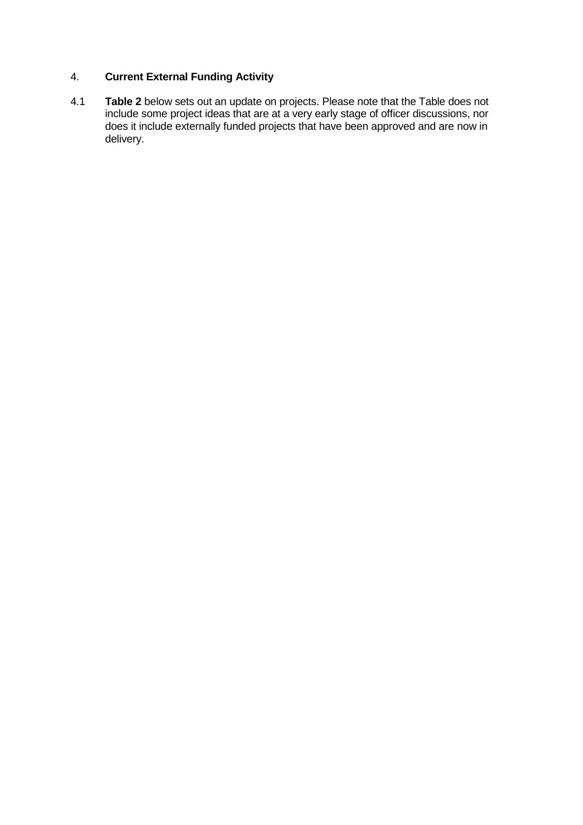## 4. **Current External Funding Activity**

4.1 **Table 2** below sets out an update on projects. Please note that the Table does not include some project ideas that are at a very early stage of officer discussions, nor does it include externally funded projects that have been approved and are now in delivery.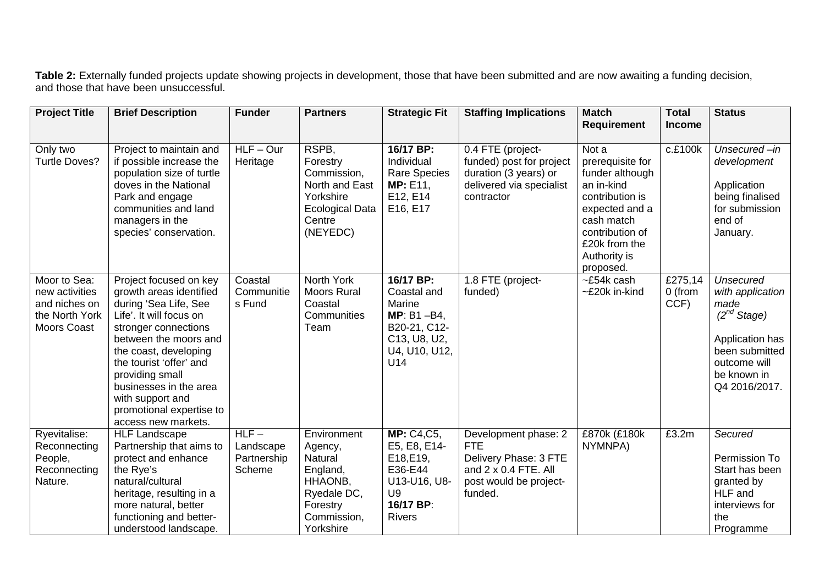**Table 2:** Externally funded projects update showing projects in development, those that have been submitted and are now awaiting a funding decision, and those that have been unsuccessful.

| <b>Project Title</b>                                                                    | <b>Brief Description</b>                                                                                                                                                                                                                                                                                                       | <b>Funder</b>                                | <b>Partners</b>                                                                                                 | <b>Strategic Fit</b>                                                                                                      | <b>Staffing Implications</b>                                                                                                    | <b>Match</b>                                                                                                                                                                   | <b>Total</b>               | <b>Status</b>                                                                                                                                         |
|-----------------------------------------------------------------------------------------|--------------------------------------------------------------------------------------------------------------------------------------------------------------------------------------------------------------------------------------------------------------------------------------------------------------------------------|----------------------------------------------|-----------------------------------------------------------------------------------------------------------------|---------------------------------------------------------------------------------------------------------------------------|---------------------------------------------------------------------------------------------------------------------------------|--------------------------------------------------------------------------------------------------------------------------------------------------------------------------------|----------------------------|-------------------------------------------------------------------------------------------------------------------------------------------------------|
|                                                                                         |                                                                                                                                                                                                                                                                                                                                |                                              |                                                                                                                 |                                                                                                                           |                                                                                                                                 | <b>Requirement</b>                                                                                                                                                             | <b>Income</b>              |                                                                                                                                                       |
| Only two<br><b>Turtle Doves?</b>                                                        | Project to maintain and<br>if possible increase the<br>population size of turtle<br>doves in the National<br>Park and engage<br>communities and land<br>managers in the<br>species' conservation.                                                                                                                              | $HLF - Our$<br>Heritage                      | RSPB,<br>Forestry<br>Commission,<br>North and East<br>Yorkshire<br><b>Ecological Data</b><br>Centre<br>(NEYEDC) | 16/17 BP:<br>Individual<br><b>Rare Species</b><br><b>MP</b> : E11,<br>E12, E14<br>E16, E17                                | 0.4 FTE (project-<br>funded) post for project<br>duration (3 years) or<br>delivered via specialist<br>contractor                | Not a<br>prerequisite for<br>funder although<br>an in-kind<br>contribution is<br>expected and a<br>cash match<br>contribution of<br>£20k from the<br>Authority is<br>proposed. | c.£100k                    | Unsecured -in<br>development<br>Application<br>being finalised<br>for submission<br>end of<br>January.                                                |
| Moor to Sea:<br>new activities<br>and niches on<br>the North York<br><b>Moors Coast</b> | Project focused on key<br>growth areas identified<br>during 'Sea Life, See<br>Life'. It will focus on<br>stronger connections<br>between the moors and<br>the coast, developing<br>the tourist 'offer' and<br>providing small<br>businesses in the area<br>with support and<br>promotional expertise to<br>access new markets. | Coastal<br>Communitie<br>s Fund              | North York<br>Moors Rural<br>Coastal<br>Communities<br>Team                                                     | 16/17 BP:<br>Coastal and<br>Marine<br>$MP: B1 - B4$ ,<br>B20-21, C12-<br>C13, U8, U2,<br>U4, U10, U12,<br>U14             | 1.8 FTE (project-<br>funded)                                                                                                    | $\overline{-E}$ 54k cash<br>~£20k in-kind                                                                                                                                      | £275,14<br>0 (from<br>CCF) | <b>Unsecured</b><br>with application<br>made<br>$(2^{nd}$ Stage)<br>Application has<br>been submitted<br>outcome will<br>be known in<br>Q4 2016/2017. |
| Ryevitalise:<br>Reconnecting<br>People,<br>Reconnecting<br>Nature.                      | <b>HLF Landscape</b><br>Partnership that aims to<br>protect and enhance<br>the Rye's<br>natural/cultural<br>heritage, resulting in a<br>more natural, better<br>functioning and better-<br>understood landscape.                                                                                                               | $HLF-$<br>Landscape<br>Partnership<br>Scheme | Environment<br>Agency,<br>Natural<br>England,<br>HHAONB,<br>Ryedale DC,<br>Forestry<br>Commission,<br>Yorkshire | <b>MP: C4,C5,</b><br>E5, E8, E14-<br>E18, E19,<br>E36-E44<br>U13-U16, U8-<br>U <sub>9</sub><br>16/17 BP:<br><b>Rivers</b> | Development phase: 2<br><b>FTE</b><br>Delivery Phase: 3 FTE<br>and $2 \times 0.4$ FTE, All<br>post would be project-<br>funded. | £870k (£180k<br>NYMNPA)                                                                                                                                                        | £3.2m                      | Secured<br>Permission To<br>Start has been<br>granted by<br>HLF and<br>interviews for<br>the<br>Programme                                             |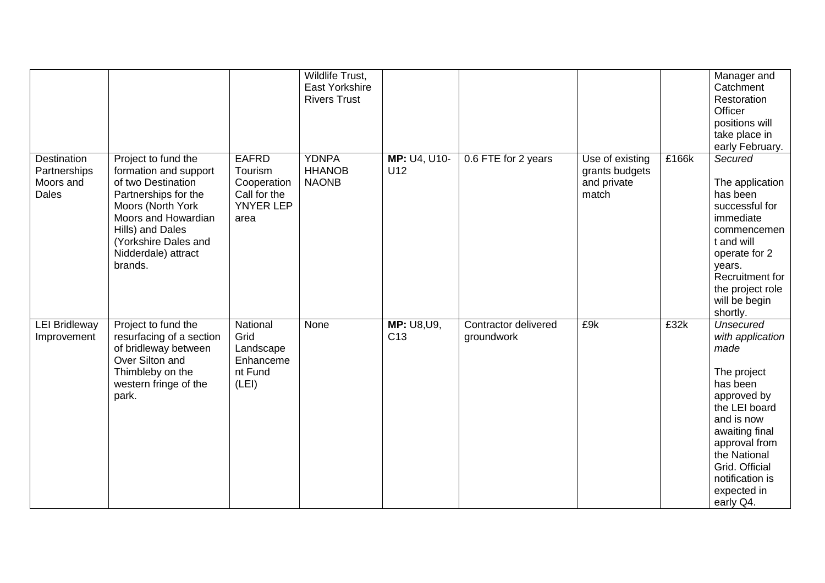|                                                          |                                                                                                                                                                                                                      |                                                                             | Wildlife Trust,<br>East Yorkshire<br><b>Rivers Trust</b> |                                       |                                    |                                                           |       | Manager and<br>Catchment<br>Restoration<br>Officer<br>positions will<br>take place in<br>early February.                                                                                                                                  |
|----------------------------------------------------------|----------------------------------------------------------------------------------------------------------------------------------------------------------------------------------------------------------------------|-----------------------------------------------------------------------------|----------------------------------------------------------|---------------------------------------|------------------------------------|-----------------------------------------------------------|-------|-------------------------------------------------------------------------------------------------------------------------------------------------------------------------------------------------------------------------------------------|
| Destination<br>Partnerships<br>Moors and<br><b>Dales</b> | Project to fund the<br>formation and support<br>of two Destination<br>Partnerships for the<br>Moors (North York<br>Moors and Howardian<br>Hills) and Dales<br>(Yorkshire Dales and<br>Nidderdale) attract<br>brands. | <b>EAFRD</b><br>Tourism<br>Cooperation<br>Call for the<br>YNYER LEP<br>area | <b>YDNPA</b><br><b>HHANOB</b><br><b>NAONB</b>            | MP: U4, U10-<br>U12                   | 0.6 FTE for 2 years                | Use of existing<br>grants budgets<br>and private<br>match | £166k | Secured<br>The application<br>has been<br>successful for<br>immediate<br>commencemen<br>t and will<br>operate for 2<br>years.<br>Recruitment for<br>the project role<br>will be begin<br>shortly.                                         |
| <b>LEI Bridleway</b><br>Improvement                      | Project to fund the<br>resurfacing of a section<br>of bridleway between<br>Over Silton and<br>Thimbleby on the<br>western fringe of the<br>park.                                                                     | National<br>Grid<br>Landscape<br>Enhanceme<br>nt Fund<br>(LEI)              | None                                                     | <b>MP: U8, U9,</b><br>C <sub>13</sub> | Contractor delivered<br>groundwork | £9k                                                       | £32k  | <b>Unsecured</b><br>with application<br>made<br>The project<br>has been<br>approved by<br>the LEI board<br>and is now<br>awaiting final<br>approval from<br>the National<br>Grid. Official<br>notification is<br>expected in<br>early Q4. |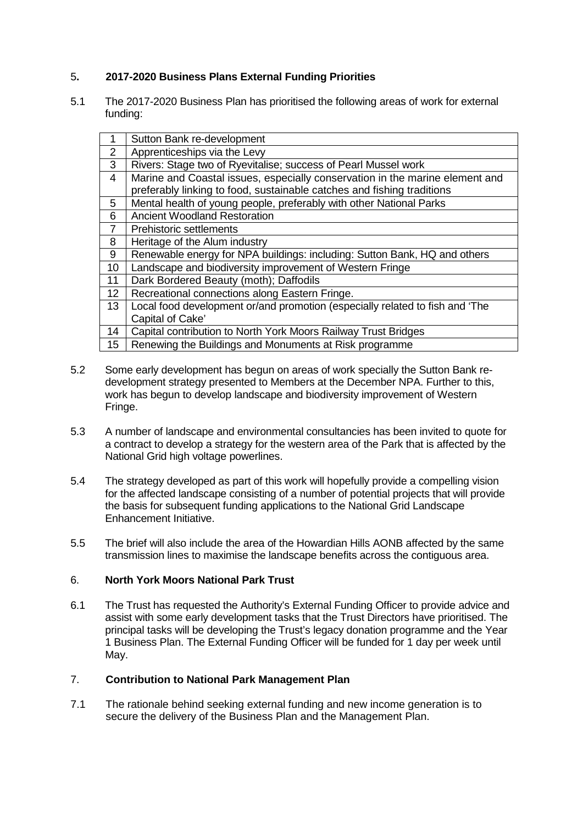## 5**. 2017-2020 Business Plans External Funding Priorities**

5.1 The 2017-2020 Business Plan has prioritised the following areas of work for external funding:

| 1              | Sutton Bank re-development                                                   |
|----------------|------------------------------------------------------------------------------|
| 2              | Apprenticeships via the Levy                                                 |
| 3              | Rivers: Stage two of Ryevitalise; success of Pearl Mussel work               |
| 4              | Marine and Coastal issues, especially conservation in the marine element and |
|                | preferably linking to food, sustainable catches and fishing traditions       |
| 5              | Mental health of young people, preferably with other National Parks          |
| 6              | <b>Ancient Woodland Restoration</b>                                          |
| $\overline{7}$ | Prehistoric settlements                                                      |
| 8              | Heritage of the Alum industry                                                |
| 9              | Renewable energy for NPA buildings: including: Sutton Bank, HQ and others    |
| 10             | Landscape and biodiversity improvement of Western Fringe                     |
| 11             | Dark Bordered Beauty (moth); Daffodils                                       |
| 12             | Recreational connections along Eastern Fringe.                               |
| 13             | Local food development or/and promotion (especially related to fish and 'The |
|                | Capital of Cake'                                                             |
| 14             | Capital contribution to North York Moors Railway Trust Bridges               |
| 15             | Renewing the Buildings and Monuments at Risk programme                       |

- 5.2 Some early development has begun on areas of work specially the Sutton Bank redevelopment strategy presented to Members at the December NPA. Further to this, work has begun to develop landscape and biodiversity improvement of Western Fringe.
- 5.3 A number of landscape and environmental consultancies has been invited to quote for a contract to develop a strategy for the western area of the Park that is affected by the National Grid high voltage powerlines.
- 5.4 The strategy developed as part of this work will hopefully provide a compelling vision for the affected landscape consisting of a number of potential projects that will provide the basis for subsequent funding applications to the National Grid Landscape Enhancement Initiative.
- 5.5 The brief will also include the area of the Howardian Hills AONB affected by the same transmission lines to maximise the landscape benefits across the contiguous area.

## 6. **North York Moors National Park Trust**

6.1 The Trust has requested the Authority's External Funding Officer to provide advice and assist with some early development tasks that the Trust Directors have prioritised. The principal tasks will be developing the Trust's legacy donation programme and the Year 1 Business Plan. The External Funding Officer will be funded for 1 day per week until May.

## 7. **Contribution to National Park Management Plan**

7.1 The rationale behind seeking external funding and new income generation is to secure the delivery of the Business Plan and the Management Plan.